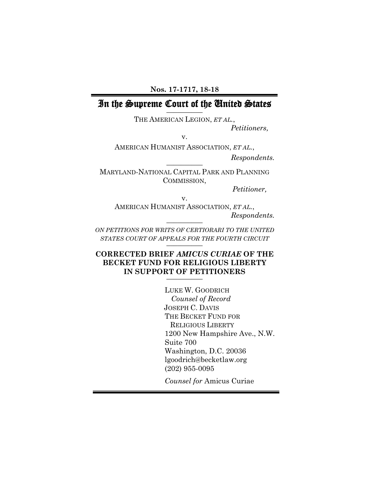### **Nos. 17-1717, 18-18**

### In the Supreme Court of the United States **\_\_\_\_\_\_\_\_\_\_**

THE AMERICAN LEGION, *ET AL.*, *Petitioners,*

v.

AMERICAN HUMANIST ASSOCIATION, *ET AL.*, *Respondents.* **\_\_\_\_\_\_\_\_\_\_**

MARYLAND-NATIONAL CAPITAL PARK AND PLANNING COMMISSION,

*Petitioner,*

v. AMERICAN HUMANIST ASSOCIATION, *ET AL.*, *Respondents.* **\_\_\_\_\_\_\_\_\_\_**

*ON PETITIONS FOR WRITS OF CERTIORARI TO THE UNITED STATES COURT OF APPEALS FOR THE FOURTH CIRCUIT* **\_\_\_\_\_\_\_\_\_\_**

# **CORRECTED BRIEF** *AMICUS CURIAE* **OF THE BECKET FUND FOR RELIGIOUS LIBERTY IN SUPPORT OF PETITIONERS \_\_\_\_\_\_\_\_\_\_**

LUKE W. GOODRICH *Counsel of Record* JOSEPH C. DAVIS THE BECKET FUND FOR RELIGIOUS LIBERTY 1200 New Hampshire Ave., N.W. Suite 700 Washington, D.C. 20036 lgoodrich@becketlaw.org (202) 955-0095

*Counsel for* Amicus Curiae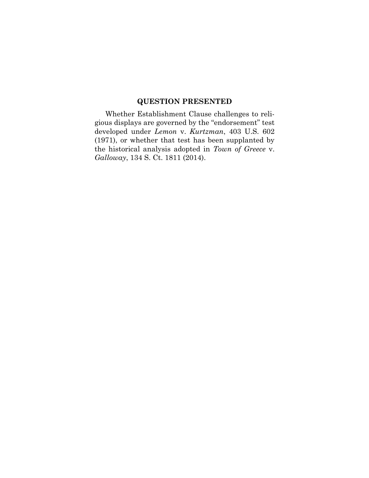## **QUESTION PRESENTED**

Whether Establishment Clause challenges to religious displays are governed by the "endorsement" test developed under *Lemon* v. *Kurtzman*, 403 U.S. 602 (1971), or whether that test has been supplanted by the historical analysis adopted in *Town of Greece* v. *Galloway*, 134 S. Ct. 1811 (2014).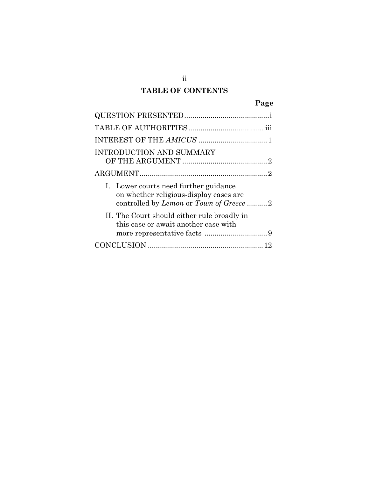# **TABLE OF CONTENTS**

|--|

| <b>INTRODUCTION AND SUMMARY</b>                                                                                            |
|----------------------------------------------------------------------------------------------------------------------------|
|                                                                                                                            |
| I. Lower courts need further guidance<br>on whether religious-display cases are<br>controlled by Lemon or Town of Greece 2 |
| II. The Court should either rule broadly in<br>this case or await another case with                                        |
|                                                                                                                            |

ii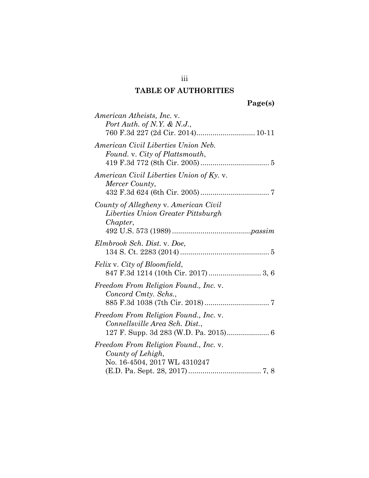# **TABLE OF AUTHORITIES**

iii

| American Atheists, Inc. v.<br>Port Auth. of N.Y. & N.J.,                                   |
|--------------------------------------------------------------------------------------------|
| American Civil Liberties Union Neb.<br>Found. v. City of Plattsmouth,                      |
| American Civil Liberties Union of Ky. v.<br>Mercer County,                                 |
| County of Allegheny v. American Civil<br>Liberties Union Greater Pittsburgh<br>Chapter,    |
| Elmbrook Sch. Dist. v. Doe,                                                                |
| Felix v. City of Bloomfield,                                                               |
| Freedom From Religion Found., Inc. v.<br>Concord Cmty. Schs.,                              |
| Freedom From Religion Found., Inc. v.<br>Connellsville Area Sch. Dist.,                    |
| Freedom From Religion Found., Inc. v.<br>County of Lehigh,<br>No. 16-4504, 2017 WL 4310247 |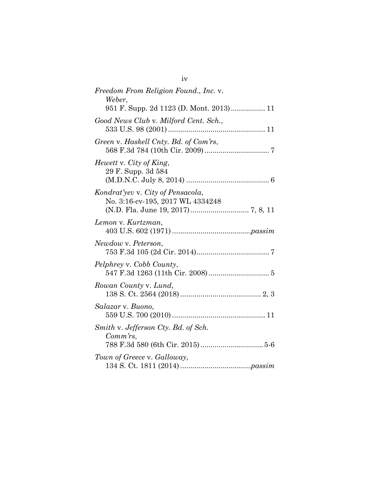| Freedom From Religion Found., Inc. v.<br>Weber,                       |
|-----------------------------------------------------------------------|
| 951 F. Supp. 2d 1123 (D. Mont. 2013) 11                               |
| Good News Club v. Milford Cent. Sch.,                                 |
| Green v. Haskell Cnty. Bd. of Com'rs,                                 |
| Hewett v. City of King,<br>29 F. Supp. 3d 584                         |
| Kondrat'yev v. City of Pensacola,<br>No. 3:16-cv-195, 2017 WL 4334248 |
| Lemon v. Kurtzman,                                                    |
| Newdow v. Peterson,                                                   |
| Pelphrey v. Cobb County,                                              |
| Rowan County v. Lund,                                                 |
| Salazar v. Buono,                                                     |
| Smith v. Jefferson Cty. Bd. of Sch.<br>$Comm\,rs$ ,                   |
|                                                                       |
| Town of Greece v. Galloway,                                           |

iv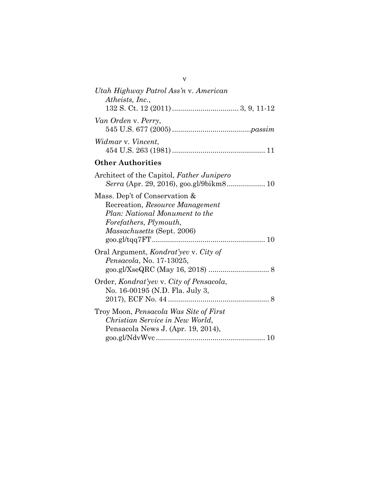| Utah Highway Patrol Ass'n v. American<br>Atheists, Inc.,                                                                                                          |
|-------------------------------------------------------------------------------------------------------------------------------------------------------------------|
| Van Orden v. Perry,                                                                                                                                               |
| Widmar v. Vincent,                                                                                                                                                |
| <b>Other Authorities</b>                                                                                                                                          |
| Architect of the Capitol, Father Junipero                                                                                                                         |
| Mass. Dep't of Conservation &<br>Recreation, Resource Management<br>Plan: National Monument to the<br>Forefathers, Plymouth,<br><i>Massachusetts</i> (Sept. 2006) |
| Oral Argument, <i>Kondrat'yev</i> v. City of<br>Pensacola, No. 17-13025,                                                                                          |
| Order, Kondrat'yev v. City of Pensacola,<br>No. 16-00195 (N.D. Fla. July 3,                                                                                       |
| Troy Moon, Pensacola Was Site of First<br>Christian Service in New World,<br>Pensacola News J. (Apr. 19, 2014),                                                   |

v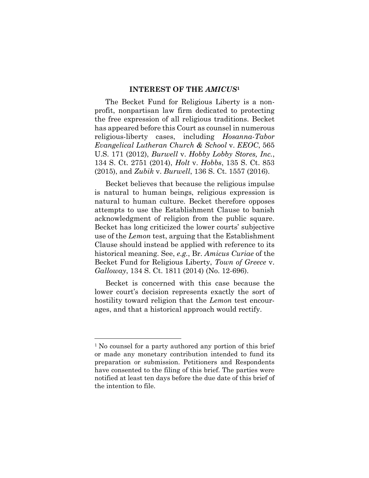### **INTEREST OF THE** *AMICUS***<sup>1</sup>**

The Becket Fund for Religious Liberty is a nonprofit, nonpartisan law firm dedicated to protecting the free expression of all religious traditions. Becket has appeared before this Court as counsel in numerous religious-liberty cases, including *Hosanna-Tabor Evangelical Lutheran Church & School* v. *EEOC*, 565 U.S. 171 (2012), *Burwell* v. *Hobby Lobby Stores, Inc.*, 134 S. Ct. 2751 (2014), *Holt* v. *Hobbs*, 135 S. Ct. 853 (2015), and *Zubik* v. *Burwell*, 136 S. Ct. 1557 (2016).

Becket believes that because the religious impulse is natural to human beings, religious expression is natural to human culture. Becket therefore opposes attempts to use the Establishment Clause to banish acknowledgment of religion from the public square. Becket has long criticized the lower courts' subjective use of the *Lemon* test, arguing that the Establishment Clause should instead be applied with reference to its historical meaning. See, *e.g.*, Br. *Amicus Curiae* of the Becket Fund for Religious Liberty, *Town of Greece* v. *Galloway*, 134 S. Ct. 1811 (2014) (No. 12-696).

Becket is concerned with this case because the lower court's decision represents exactly the sort of hostility toward religion that the *Lemon* test encourages, and that a historical approach would rectify.

 $\overline{a}$ 

<sup>&</sup>lt;sup>1</sup> No counsel for a party authored any portion of this brief or made any monetary contribution intended to fund its preparation or submission. Petitioners and Respondents have consented to the filing of this brief. The parties were notified at least ten days before the due date of this brief of the intention to file.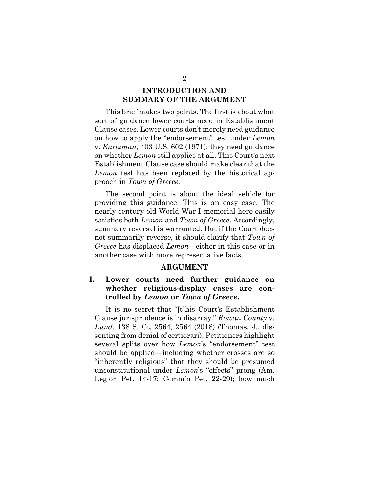## **INTRODUCTION AND SUMMARY OF THE ARGUMENT**

This brief makes two points. The first is about what sort of guidance lower courts need in Establishment Clause cases. Lower courts don't merely need guidance on how to apply the "endorsement" test under *Lemon* v. *Kurtzman*, 403 U.S. 602 (1971); they need guidance on whether *Lemon* still applies at all. This Court's next Establishment Clause case should make clear that the *Lemon* test has been replaced by the historical approach in *Town of Greece*.

The second point is about the ideal vehicle for providing this guidance. This is an easy case. The nearly century-old World War I memorial here easily satisfies both *Lemon* and *Town of Greece*. Accordingly, summary reversal is warranted. But if the Court does not summarily reverse, it should clarify that *Town of Greece* has displaced *Lemon*—either in this case or in another case with more representative facts.

#### **ARGUMENT**

## **I. Lower courts need further guidance on whether religious-display cases are controlled by** *Lemon* **or** *Town of Greece***.**

It is no secret that "[t]his Court's Establishment Clause jurisprudence is in disarray." *Rowan County* v. *Lund*, 138 S. Ct. 2564, 2564 (2018) (Thomas, J., dissenting from denial of certiorari). Petitioners highlight several splits over how *Lemon*'s "endorsement" test should be applied—including whether crosses are so "inherently religious" that they should be presumed unconstitutional under *Lemon*'s "effects" prong (Am. Legion Pet. 14-17; Comm'n Pet. 22-29); how much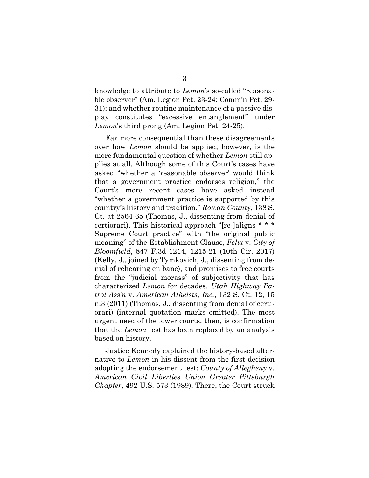knowledge to attribute to *Lemon*'s so-called "reasonable observer" (Am. Legion Pet. 23-24; Comm'n Pet. 29- 31); and whether routine maintenance of a passive display constitutes "excessive entanglement" under *Lemon*'s third prong (Am. Legion Pet. 24-25).

Far more consequential than these disagreements over how *Lemon* should be applied, however, is the more fundamental question of whether *Lemon* still applies at all. Although some of this Court's cases have asked "whether a 'reasonable observer' would think that a government practice endorses religion," the Court's more recent cases have asked instead "whether a government practice is supported by this country's history and tradition." *Rowan County*, 138 S. Ct. at 2564-65 (Thomas, J., dissenting from denial of certiorari). This historical approach "[re-]aligns \* \* \* Supreme Court practice" with "the original public meaning" of the Establishment Clause, *Felix* v. *City of Bloomfield*, 847 F.3d 1214, 1215-21 (10th Cir. 2017) (Kelly, J., joined by Tymkovich, J., dissenting from denial of rehearing en banc), and promises to free courts from the "judicial morass" of subjectivity that has characterized *Lemon* for decades. *Utah Highway Patrol Ass'n* v. *American Atheists, Inc.*, 132 S. Ct. 12, 15 n.3 (2011) (Thomas, J., dissenting from denial of certiorari) (internal quotation marks omitted). The most urgent need of the lower courts, then, is confirmation that the *Lemon* test has been replaced by an analysis based on history.

Justice Kennedy explained the history-based alternative to *Lemon* in his dissent from the first decision adopting the endorsement test: *County of Allegheny* v. *American Civil Liberties Union Greater Pittsburgh Chapter*, 492 U.S. 573 (1989). There, the Court struck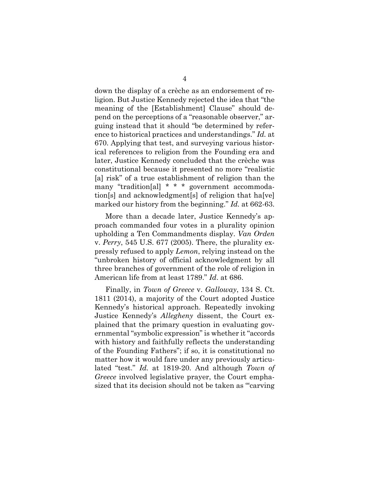down the display of a crèche as an endorsement of religion. But Justice Kennedy rejected the idea that "the meaning of the [Establishment] Clause" should depend on the perceptions of a "reasonable observer," arguing instead that it should "be determined by reference to historical practices and understandings." *Id.* at 670. Applying that test, and surveying various historical references to religion from the Founding era and later, Justice Kennedy concluded that the crèche was constitutional because it presented no more "realistic [a] risk" of a true establishment of religion than the many "tradition[al] \* \* \* government accommodation[s] and acknowledgment[s] of religion that ha[ve] marked our history from the beginning." *Id.* at 662-63.

More than a decade later, Justice Kennedy's approach commanded four votes in a plurality opinion upholding a Ten Commandments display. *Van Orden*  v. *Perry*, 545 U.S. 677 (2005). There, the plurality expressly refused to apply *Lemon*, relying instead on the "unbroken history of official acknowledgment by all three branches of government of the role of religion in American life from at least 1789." *Id*. at 686.

Finally, in *Town of Greece* v. *Galloway*, 134 S. Ct. 1811 (2014), a majority of the Court adopted Justice Kennedy's historical approach. Repeatedly invoking Justice Kennedy's *Allegheny* dissent, the Court explained that the primary question in evaluating governmental "symbolic expression" is whether it "accords with history and faithfully reflects the understanding of the Founding Fathers"; if so, it is constitutional no matter how it would fare under any previously articulated "test." *Id.* at 1819-20. And although *Town of Greece* involved legislative prayer, the Court emphasized that its decision should not be taken as "'carving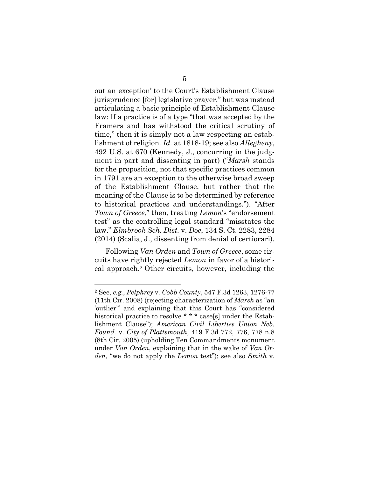out an exception' to the Court's Establishment Clause jurisprudence [for] legislative prayer," but was instead articulating a basic principle of Establishment Clause law: If a practice is of a type "that was accepted by the Framers and has withstood the critical scrutiny of time," then it is simply not a law respecting an establishment of religion. *Id.* at 1818-19; see also *Allegheny*, 492 U.S. at 670 (Kennedy, J., concurring in the judgment in part and dissenting in part) ("*Marsh* stands for the proposition, not that specific practices common in 1791 are an exception to the otherwise broad sweep of the Establishment Clause, but rather that the meaning of the Clause is to be determined by reference to historical practices and understandings."). "After *Town of Greece*," then, treating *Lemon*'s "endorsement test" as the controlling legal standard "misstates the law." *Elmbrook Sch. Dist.* v. *Doe*, 134 S. Ct. 2283, 2284 (2014) (Scalia, J., dissenting from denial of certiorari).

Following *Van Orden* and *Town of Greece*, some circuits have rightly rejected *Lemon* in favor of a historical approach.<sup>2</sup> Other circuits, however, including the

1

<sup>2</sup> See, *e.g.*, *Pelphrey* v. *Cobb County*, 547 F.3d 1263, 1276-77 (11th Cir. 2008) (rejecting characterization of *Marsh* as "an 'outlier'" and explaining that this Court has "considered historical practice to resolve \* \* \* case[s] under the Establishment Clause"); *American Civil Liberties Union Neb. Found.* v. *City of Plattsmouth*, 419 F.3d 772, 776, 778 n.8 (8th Cir. 2005) (upholding Ten Commandments monument under *Van Orden*, explaining that in the wake of *Van Orden*, "we do not apply the *Lemon* test"); see also *Smith* v.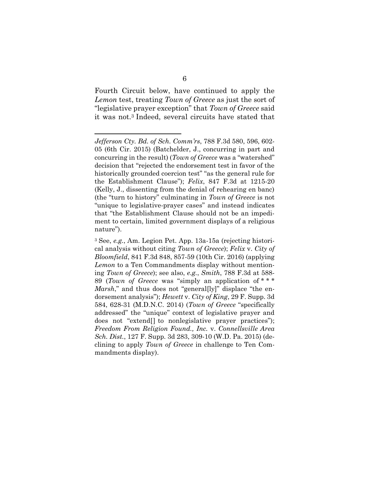Fourth Circuit below, have continued to apply the *Lemon* test, treating *Town of Greece* as just the sort of "legislative prayer exception" that *Town of Greece* said it was not.<sup>3</sup> Indeed, several circuits have stated that

1

*Jefferson Cty. Bd. of Sch. Comm'rs*, 788 F.3d 580, 596, 602- 05 (6th Cir. 2015) (Batchelder, J., concurring in part and concurring in the result) (*Town of Greece* was a "watershed" decision that "rejected the endorsement test in favor of the historically grounded coercion test" "as the general rule for the Establishment Clause"); *Felix*, 847 F.3d at 1215-20 (Kelly, J., dissenting from the denial of rehearing en banc) (the "turn to history" culminating in *Town of Greece* is not "unique to legislative-prayer cases" and instead indicates that "the Establishment Clause should not be an impediment to certain, limited government displays of a religious nature").

<sup>3</sup> See, *e.g.*, Am. Legion Pet. App. 13a-15a (rejecting historical analysis without citing *Town of Greece*); *Felix* v. *City of Bloomfield*, 841 F.3d 848, 857-59 (10th Cir. 2016) (applying *Lemon* to a Ten Commandments display without mentioning *Town of Greece*); see also, *e.g.*, *Smith*, 788 F.3d at 588- 89 (*Town of Greece* was "simply an application of \* \* \* *Marsh*," and thus does not "general[ly]" displace "the endorsement analysis"); *Hewett* v. *City of King*, 29 F. Supp. 3d 584, 628-31 (M.D.N.C. 2014) (*Town of Greece* "specifically addressed" the "unique" context of legislative prayer and does not "extend[] to nonlegislative prayer practices"); *Freedom From Religion Found., Inc.* v. *Connellsville Area Sch. Dist.*, 127 F. Supp. 3d 283, 309-10 (W.D. Pa. 2015) (declining to apply *Town of Greece* in challenge to Ten Commandments display).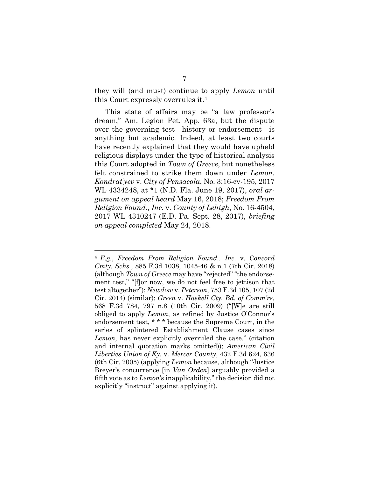they will (and must) continue to apply *Lemon* until this Court expressly overrules it.<sup>4</sup>

This state of affairs may be "a law professor's dream," Am. Legion Pet. App. 63a, but the dispute over the governing test—history or endorsement—is anything but academic. Indeed, at least two courts have recently explained that they would have upheld religious displays under the type of historical analysis this Court adopted in *Town of Greece*, but nonetheless felt constrained to strike them down under *Lemon*. *Kondrat'yev* v. *City of Pensacola*, No. 3:16-cv-195, 2017 WL 4334248, at \*1 (N.D. Fla. June 19, 2017), *oral argument on appeal heard* May 16, 2018; *Freedom From Religion Found., Inc.* v. *County of Lehigh*, No. 16-4504, 2017 WL 4310247 (E.D. Pa. Sept. 28, 2017), *briefing on appeal completed* May 24, 2018.

 $\overline{a}$ 

<sup>4</sup> *E.g.*, *Freedom From Religion Found., Inc.* v. *Concord Cmty. Schs.*, 885 F.3d 1038, 1045-46 & n.1 (7th Cir. 2018) (although *Town of Greece* may have "rejected" "the endorsement test," "[f]or now, we do not feel free to jettison that test altogether"); *Newdow* v. *Peterson*, 753 F.3d 105, 107 (2d Cir. 2014) (similar); *Green* v. *Haskell Cty. Bd. of Comm'rs*, 568 F.3d 784, 797 n.8 (10th Cir. 2009) ("[W]e are still obliged to apply *Lemon*, as refined by Justice O'Connor's endorsement test, \* \* \* because the Supreme Court, in the series of splintered Establishment Clause cases since *Lemon*, has never explicitly overruled the case." (citation and internal quotation marks omitted)); *American Civil Liberties Union of Ky.* v. *Mercer County*, 432 F.3d 624, 636 (6th Cir. 2005) (applying *Lemon* because, although "Justice Breyer's concurrence [in *Van Orden*] arguably provided a fifth vote as to *Lemon*'s inapplicability," the decision did not explicitly "instruct" against applying it).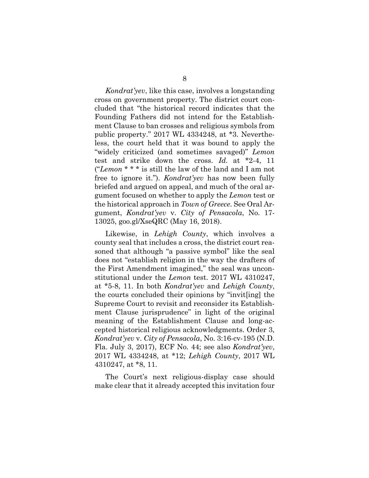*Kondrat'yev*, like this case, involves a longstanding cross on government property. The district court concluded that "the historical record indicates that the Founding Fathers did not intend for the Establishment Clause to ban crosses and religious symbols from public property." 2017 WL 4334248, at \*3. Nevertheless, the court held that it was bound to apply the "widely criticized (and sometimes savaged)" *Lemon* test and strike down the cross. *Id.* at \*2-4, 11 ("*Lemon* \* \* \* is still the law of the land and I am not free to ignore it."). *Kondrat'yev* has now been fully briefed and argued on appeal, and much of the oral argument focused on whether to apply the *Lemon* test or the historical approach in *Town of Greece*. See Oral Argument, *Kondrat'yev* v. *City of Pensacola*, No. 17- 13025, goo.gl/XseQRC (May 16, 2018).

Likewise, in *Lehigh County*, which involves a county seal that includes a cross, the district court reasoned that although "a passive symbol" like the seal does not "establish religion in the way the drafters of the First Amendment imagined," the seal was unconstitutional under the *Lemon* test. 2017 WL 4310247, at \*5-8, 11. In both *Kondrat'yev* and *Lehigh County*, the courts concluded their opinions by "invit[ing] the Supreme Court to revisit and reconsider its Establishment Clause jurisprudence" in light of the original meaning of the Establishment Clause and long-accepted historical religious acknowledgments. Order 3, *Kondrat'yev* v. *City of Pensacola*, No. 3:16-cv-195 (N.D. Fla. July 3, 2017), ECF No. 44; see also *Kondrat'yev*, 2017 WL 4334248, at \*12; *Lehigh County*, 2017 WL 4310247, at \*8, 11.

The Court's next religious-display case should make clear that it already accepted this invitation four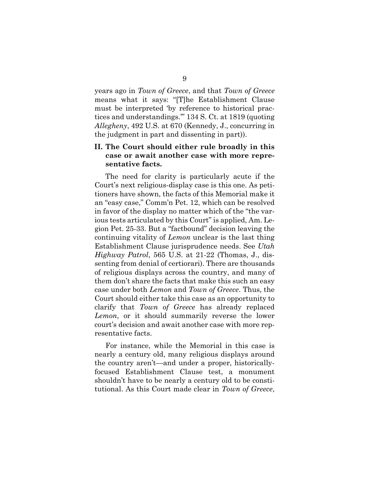years ago in *Town of Greece*, and that *Town of Greece* means what it says: "[T]he Establishment Clause must be interpreted 'by reference to historical practices and understandings.'" 134 S. Ct. at 1819 (quoting *Allegheny*, 492 U.S. at 670 (Kennedy, J., concurring in the judgment in part and dissenting in part)).

## **II. The Court should either rule broadly in this case or await another case with more representative facts.**

The need for clarity is particularly acute if the Court's next religious-display case is this one. As petitioners have shown, the facts of this Memorial make it an "easy case," Comm'n Pet. 12, which can be resolved in favor of the display no matter which of the "the various tests articulated by this Court" is applied, Am. Legion Pet. 25-33. But a "factbound" decision leaving the continuing vitality of *Lemon* unclear is the last thing Establishment Clause jurisprudence needs. See *Utah Highway Patrol*, 565 U.S. at 21-22 (Thomas, J., dissenting from denial of certiorari). There are thousands of religious displays across the country, and many of them don't share the facts that make this such an easy case under both *Lemon* and *Town of Greece*. Thus, the Court should either take this case as an opportunity to clarify that *Town of Greece* has already replaced *Lemon*, or it should summarily reverse the lower court's decision and await another case with more representative facts.

For instance, while the Memorial in this case is nearly a century old, many religious displays around the country aren't—and under a proper, historicallyfocused Establishment Clause test, a monument shouldn't have to be nearly a century old to be constitutional. As this Court made clear in *Town of Greece*,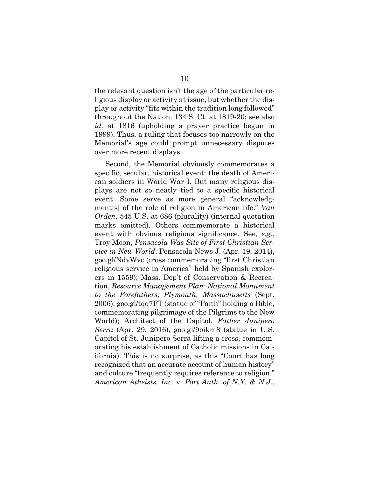the relevant question isn't the age of the particular religious display or activity at issue, but whether the display or activity "fits within the tradition long followed" throughout the Nation. 134 S. Ct. at 1819-20; see also *id.* at 1816 (upholding a prayer practice begun in 1999). Thus, a ruling that focuses too narrowly on the Memorial's age could prompt unnecessary disputes over more recent displays.

Second, the Memorial obviously commemorates a specific, secular, historical event: the death of American soldiers in World War I. But many religious displays are not so neatly tied to a specific historical event. Some serve as more general "acknowledgment[s] of the role of religion in American life." *Van Orden*, 545 U.S. at 686 (plurality) (internal quotation marks omitted). Others commemorate a historical event with obvious religious significance. See*, e.g.*, Troy Moon, *Pensacola Was Site of First Christian Service in New World*, Pensacola News J. (Apr. 19, 2014), goo.gl/NdvWvc (cross commemorating "first Christian religious service in America" held by Spanish explorers in 1559); Mass. Dep't of Conservation & Recreation, *Resource Management Plan: National Monument to the Forefathers, Plymouth, Massachusetts* (Sept. 2006), goo.gl/tqq7FT (statue of "Faith" holding a Bible, commemorating pilgrimage of the Pilgrims to the New World); Architect of the Capitol, *Father Junipero Serra* (Apr. 29, 2016), goo.gl/9bikm8 (statue in U.S. Capitol of St. Junipero Serra lifting a cross, commemorating his establishment of Catholic missions in California). This is no surprise, as this "Court has long recognized that an accurate account of human history" and culture "frequently requires reference to religion." *American Atheists, Inc.* v. *Port Auth. of N.Y. & N.J.*,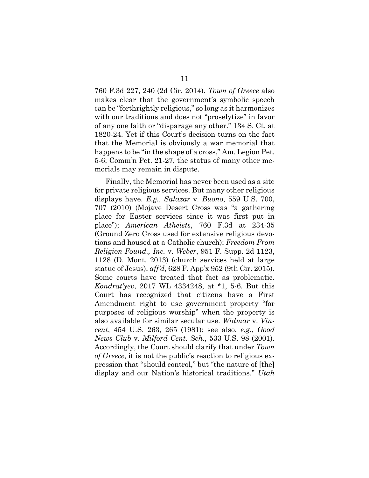760 F.3d 227, 240 (2d Cir. 2014). *Town of Greece* also makes clear that the government's symbolic speech can be "forthrightly religious," so long as it harmonizes with our traditions and does not "proselytize" in favor of any one faith or "disparage any other." 134 S. Ct. at 1820-24. Yet if this Court's decision turns on the fact that the Memorial is obviously a war memorial that happens to be "in the shape of a cross," Am. Legion Pet. 5-6; Comm'n Pet. 21-27, the status of many other memorials may remain in dispute.

Finally, the Memorial has never been used as a site for private religious services. But many other religious displays have. *E.g., Salazar* v. *Buono*, 559 U.S. 700, 707 (2010) (Mojave Desert Cross was "a gathering place for Easter services since it was first put in place"); *American Atheists*, 760 F.3d at 234-35 (Ground Zero Cross used for extensive religious devotions and housed at a Catholic church); *Freedom From Religion Found., Inc.* v. *Weber*, 951 F. Supp. 2d 1123, 1128 (D. Mont. 2013) (church services held at large statue of Jesus), *aff'd*, 628 F. App'x 952 (9th Cir. 2015). Some courts have treated that fact as problematic. *Kondrat'yev*, 2017 WL 4334248, at \*1, 5-6. But this Court has recognized that citizens have a First Amendment right to use government property "for purposes of religious worship" when the property is also available for similar secular use. *Widmar* v. *Vincent*, 454 U.S. 263, 265 (1981); see also, *e.g.*, *Good News Club* v. *Milford Cent. Sch.*, 533 U.S. 98 (2001). Accordingly, the Court should clarify that under *Town of Greece*, it is not the public's reaction to religious expression that "should control," but "the nature of [the] display and our Nation's historical traditions." *Utah*